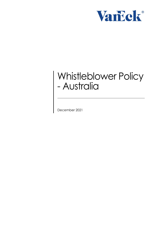

# Whistleblower Policy - Australia

December 2021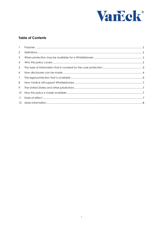

## **Table of Contents**

| 11 |  |
|----|--|
|    |  |
|    |  |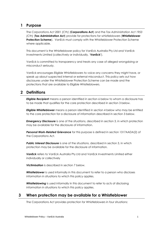## <span id="page-2-0"></span>**1 Purpose**

The *Corporations Act 2001 (Cth)* (**Corporations Act**) and the *Tax Administration Act 1953 (Cth)* (**Tax Administration Act**) provide for protections for whistleblowers (**Whistleblower Protection Scheme**). VanEck must comply with the Whistleblower Protection Scheme where applicable.

This document is the Whistleblower policy for VanEck Australia Pty Ltd and VanEck Investments Limited (collectively or individually, '**VanEck'**).

VanEck is committed to transparency and treats any case of alleged wrongdoing or misconduct seriously.

VanEck encourages Eligible Whistleblowers to voice any concerns they might have, or speak up about suspected internal or external misconduct. This policy sets out how disclosures under the Whistleblower Protection Scheme can be made and the protections that are available to Eligible Whistleblowers.

## <span id="page-2-1"></span>**2 Definitions**

*Eligible Recipient* means a person identified in section 6 below to whom a disclosure has to be made that qualifies for the core protection described in section 3 below.

*Eligible Whistleblower* means a person identified in section 4 below who may be entitled to the core protection for a disclosure of information described in section 3 below.

**Emergency Disclosure** is one of the situations, described in section 3, in which protection may be available for the disclosure of information.

*Personal Work-Related Grievance* for this purpose is defined in section 1317AADA(2) of the Corporations Act.

*Public Interest Disclosure* is one of the situations, described in section 3, in which protection may be available for the disclosure of information.

*VanEck* refers to VanEck Australia Pty Ltd and VanEck Investments Limited either individually or collectively

*Victimisation* is described in section 7 below.

*Whistleblower* is used informally in this document to refer to a person who discloses information in situations to which this policy applies.

**Whistleblowing** is used informally in this document to refer to acts of disclosing information in situations to which this policy applies.

## <span id="page-2-2"></span>**3 When protection may be available for a Whistleblower**

The Corporations Act provides protection for Whistleblowers in four situations: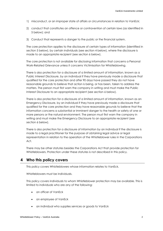- 1) misconduct, or an improper state of affairs or circumstances in relation to VanEck;
- 2) conduct that constitutes an offence or contravention of certain laws (as identified in 5 below); and
- 3) Conduct that represents a danger to the public or the financial system.

The core protection applies to the disclosure of certain types of information (identified in section 5 below), by certain individuals (see section 4 below), where the disclosure is made to an appropriate recipient (see section 6 below).

The core protection is not available for disclosing information that concerns a Personal Work-Related Grievance unless it concerns Victimisation for Whistleblowing.

There is also protection for a disclosure of a limited amount of information, known as a Public Interest Disclosure, by an individual if they have previously made a disclosure that qualified for the core protection and after 90 days have passed they do not have reasonable grounds to believe that action is being, or has been, taken to address the matters. The person must first warn the company in writing and must make the Public Interest Disclosure to an appropriate recipient (see section 6 below).

There is also protection for a disclosure of a limited amount of information, known as an Emergency Disclosure, by an individual if they have previously made a disclosure that qualified for the core protection and they have reasonable grounds to believe that the information concerns a substantial or imminent danger to the health or safety of one or more persons or the natural environment. The person must first warn the company in writing and must make the Emergency Disclosure to an appropriate recipient (see section 6 below).

There is also protection for a disclosure of information by an individual if the disclosure is made to a legal practitioner for the purpose of obtaining legal advice or legal representation in relation to the operation of the Whistleblower rules in the Corporations Act.

There may be other statutes besides the Corporations Act that provide protection for Whistleblowers. Protection under these statutes is not described in this policy.

## <span id="page-3-0"></span>**4 Who this policy covers**

This policy covers Whistleblowers whose information relates to VanEck.

Whistleblowers must be individuals.

This policy covers individuals to whom Whistleblower protection may be available. This is limited to individuals who are any of the following:

- an officer of VanEck
- an employee of VanEck
- an individual who supplies services or goods to VanEck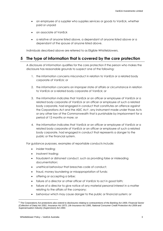- an employee of a supplier who supplies services or goods to VanEck, whether paid or unpaid
- an associate of VanEck
- a relative of anyone listed above, a dependant of anyone listed above or a dependant of the spouse of anyone listed above.

Individuals described above are referred to as Eligible Whistleblowers.

## <span id="page-4-0"></span>**5 The type of information that is covered by the core protection**

A disclosure of information qualifies for the core protection if the person who makes the disclosure has reasonable grounds to suspect one of the following:

- 1. the information concerns misconduct in relation to VanEck or a related body corporate of VanEck; or
- 2. the information concerns an improper state of affairs or circumstance in relation to VanEck or a related body corporate of VanEck; or
- 3. the information indicates that VanEck or an officer or employee of VanEck or a related body corporate of VanEck or an officer or employee of such a related body corporate, had engaged in conduct that constitutes an offence against the Corporations Act and the ASIC Act <sup>1</sup>, any instrument made under those Acts or any other law of the Commonwealth that is punishable by imprisonment for a period of 12 months or more; or
- 4. the information indicates that VanEck or an officer or employee of VanEck or a related body corporate of VanEck or an officer or employee of such a related body corporate, had engaged in conduct that represents a danger to the public or the financial system.

For guidance purposes, examples of reportable conducts include:

- insider trading;
- insolvent trading;
- fraudulent or dishonest conduct, such as providing false or misleading documentation;
- unethical behaviour that breaches code of conduct;
- fraud, money laundering or misappropriation of funds;
- offering or accepting a bribe;
- failure of a director or other officer of VanEck to act in good faith;
- failure of a director to give notice of any material personal interest in a matter relating to the affairs of the company;
- behaviour which may cause danger to the public or financial system; or

 $\overline{a}$ 

<sup>1</sup> The Corporations Act protections also extend to disclosures relating to contraventions of the *Banking Act 1959*, *Financial Sector (Collection of Data) Act 2001*, *Insurance Act 1973*, *Life Insurance Act 1995*, *National Consumer Credit Protection Act 2009* and *Superannuation Industry (Supervision) Act 1993*.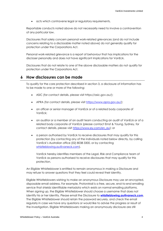acts which contravene legal or regulatory requirements.

Reportable conducts noted above do not necessarily need to involve a contravention of any particular law.

Disclosures that solely concern personal work-related grievances (and do not include concerns relating to a disclosable matter noted above) do not generally qualify for protection under the Corporations Act.

Personal work-related grievance is a report of behaviour that has implications for the discloser personally and does not have significant implications for VanEck.

Disclosures that do not relate to one of the above disclosable matters do not qualify for protection under the Corporations Act.

## <span id="page-5-0"></span>**6 How disclosures can be made**

To qualify for the core protection described in section 3, a disclosure of information has to be made to one or more of the following:

- ASIC (for contact details, please visit https://asic.gov.au/);
- APRA (for contact details, please visit [https://www.apra.gov.au/\)](https://www.apra.gov.au/);
- an officer or senior manager of VanEck or of a related body corporate of VanEck;
- an auditor or a member of an audit team conducting an audit of VanEck or of a related body corporate of VanEck (please contact Ernst & Young, Sydney, for contact details, please visit [https://www.ey.com/en\\_au\)](https://www.ey.com/en_au); or
- a person authorised by VanEck to receive disclosures that may qualify for this protection (by contacting any of the individuals noted below directly, by calling VanEck's Australian office (02) 8038 3300, or by contacting [whistleblowing.au@vaneck.com\)](mailto:whistleblowing.au@vaneck.com).

VanEck hereby identifies members of the Legal, Risk and Compliance team of VanEck as persons authorised to receive disclosures that may qualify for this protection.

An Eligible Whistleblower is entitled to remain anonymous in making a Disclosure and may refuse to answer questions that they feel could reveal their identity.

Eligible Whistleblowers wishing to make an anonymous Disclosure may use an encrypted, disposable email address. For example, ProtonMail is a free, secure, end-to-end emailing service that shields identifiable metadata which exists on normal emailing platforms. When signing up, the Eligible Whistleblower should choose a username that does not identify his or her identity. Please email the Disclosure to **[whistleblowing.au@vaneck.com](mailto:whistleblowing.au@vaneck.com)**. The Eligible Whistleblower should retain the password securely, and check the email regularly in case we have any questions or would like to advise the progress or result of the investigation. Eligible Whistleblowers making an anonymously disclosure are still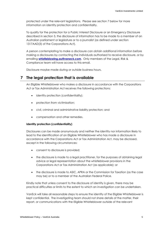protected under the relevant legislations. Please see section 7 below for more information on identity protection and confidentiality.

To qualify for the protection for a Public Interest Disclosure or an Emergency Disclosure described in section 3, the disclosure of information has to be made to a member of an Australian parliament or legislature or to a journalist (as defined under section 1317AAD(3) of the Corporations Act).

A person contemplating to make a disclosure can obtain additional information before making a disclosures by contacting the individuals authorised to receive disclosure, or by emailing **[whistleblowing.au@vaneck.com](mailto:whistleblowing.au@vaneck.com)**. Only members of the Legal, Risk & Compliance team will have access to this email.

Disclosure maybe made during or outside business hours.

## <span id="page-6-0"></span>**7 The legal protection that is available**

An Eligible Whistleblower who makes a disclosure in accordance with the Corporations Act or Tax Administration Act receives the following protections:

- identity protection (confidentiality);
- protection from victimisation;
- civil, criminal and administrative liability protection; and
- compensation and other remedies.

#### **Identity protection (confidentiality)**

Disclosures can be made anonymously and neither the identity nor information likely to lead to the identification of an Eligible Whistleblower who has made a disclosure in accordance with the Corporations Act or Tax Administration Act, may be disclosed, except in the following circumstances:

- consent to disclosure is provided;
- the disclosure is made to a legal practitioner, for the purposes of obtaining legal advice or legal representation about the whistleblower provisions in the Corporations Act or Tax Administration Act (as applicable); or
- the disclosure is made to ASIC, APRA or the Commission for Taxation (as the case may be) or to a member of the Australian Federal Police.

Kindly note that unless consent to the disclosure of identity is given, there may be practical difficulties or limits to the extent to which an investigation can be undertaken.

VanEck will take all reasonable steps to ensure the identity of the Eligible Whistleblower is kept confidential. The investigating team should not share details of the matter, their report, or communications with the Eligible Whistleblower outside of the relevant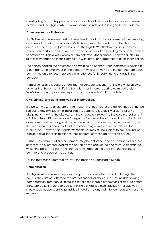investigating team. Any personal information should be redacted from reports, where possible, and the Eligible Whistleblower should be referred to in a gender-neutral way.

#### **Protection from victimisation**

An Eligible Whistleblowers must not be subject to victimisation as a result of them making, or potentially making, a disclosure. Victimisation refers to conducts, or the threat of conduct, which causes (or would cause) the Eligible Whistleblower to suffer detriment. Please note certain conduct will not constitute victimisation including reasonable actions to protect an Eligible Whistleblower from detriment (for example, when the disclosure relates to wrongdoing in their immediate work area) and appropriate disciplinary action.

The person causing the detriment is committing an offence. If the detriment is caused by a company, the employees of the company who are involved in the conduct are each committing an offence. There are similar offences for threatening to engage in such conduct.

VanEck takes all allegations of detrimental conduct seriously. An Eligible Whistleblower believes that he or she is suffering from detriment should report to us immediately. VanEck will take appropriate steps in accordance with VanEck's policies.

#### **Civil, criminal and administrative liability protection.**

If a person makes a disclosure of information that qualifies for protection, they cannot be subject to any civil liability, criminal liability, administrative liability or administrative discipline for making the disclosure. If the disclosure is subject to the core protection or is a Public Interest Disclosure or an Emergency Disclosure, the disclosed information is not admissible in evidence against the person in criminal proceedings or in proceedings for the imposition of a penalty, other than proceedings in respect of the falsity of the information. However, an Eligible Whistleblower may still be subject to civil, criminal or administrative liability in relation to their conduct as revealed by the disclosure.

Further, no contractual or other remedy may be enforced, and no contractual or other right may be exercised, against the person on the basis of the disclosure. A contract to which the person is a party may not be terminated on the basis that the disclosure constitutes a breach of the contract.

For the purposes of defamation laws, the person has qualified privilege.

#### **Compensation**

.

An Eligible Whistleblower may seek compensation and other remedies through the courts if they are not afforded the protections noted above. This may include seeking compensation from VanEck for failing to take reasonable precautions or steps to ensure those protections were afforded to the Eligible Whistleblower. Eligible Whistleblowers should seek independent legal advice in relation to any claim for compensation or other remedy.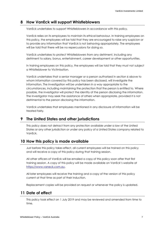## <span id="page-8-0"></span>**8 How VanEck will support Whistleblowers**

VanEck undertakes to support Whistleblowers in accordance with this policy.

VanEck relies on its employees to maintain its ethical behaviour. In training employees on this policy, the employees will be told that they are encouraged to raise any suspicion or to provide any information that VanEck is not behaving appropriately. The employees will be told that there will be no repercussions for doing so.

VanEck undertakes to protect Whistleblowers from any detriment, including any detriment to salary, bonus, entertainment, career development or other opportunities.

In training employees on this policy, the employees will be told that they must not subject a Whistleblower to Victimisation.

VanEck undertakes that a senior manager or a person authorised in section 6 above to whom information covered by this policy has been disclosed, will investigate the information. The investigation will be undertaken in a way appropriate to the circumstances, including maintaining the protection that the person is entitled to. Where possible, the investigator will protect the identity of the person disclosing the information. The investigator may seek the assistance of others when appropriate, provided it is not detrimental to the person disclosing the information.

VanEck undertakes that employees mentioned in any disclosure of information will be treated fairly.

## <span id="page-8-1"></span>**9 The United States and other jurisdictions**

This policy does not detract from any protection available under a law of the United States or any other jurisdiction or under any policy of a United States company related to VanEck.

## <span id="page-8-2"></span>**10 How this policy is made available**

Just before this policy takes effect, all current employees will be trained on this policy and will receive a copy of this policy during that training session.

All other officers of VanEck will be emailed a copy of this policy soon after that first training session. A copy of this policy will be made available on VanEck's website at [https://www.vaneck.com.au.](https://www.vaneck.com.au/)

All later employees will receive the training and a copy of the version of this policy current at that time as part of their induction.

Replacement copies will be provided on request or whenever the policy is updated.

## <span id="page-8-3"></span>**11 Date of effect**

This policy took effect on 1 July 2019 and may be reviewed and amended from time to time.